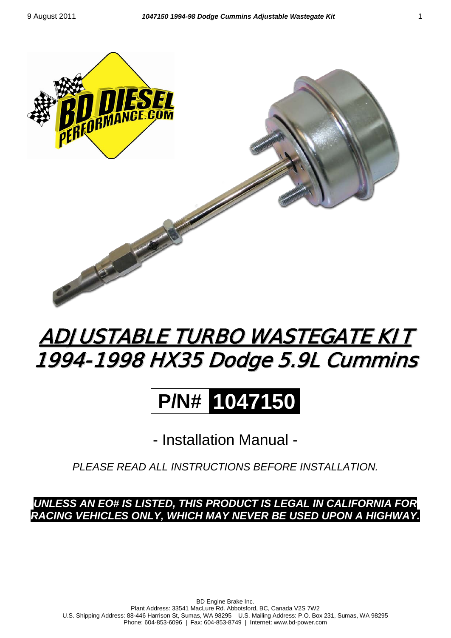

## <u>ADJUSTABLE TURBO WASTEGATE KIT</u> 1994-1998 HX35 Dodge 5.9L Cummins

# **P/N# 1047150**

- Installation Manual -

*PLEASE READ ALL INSTRUCTIONS BEFORE INSTALLATION.*

*UNLESS AN EO# IS LISTED, THIS PRODUCT IS LEGAL IN CALIFORNIA FOR RACING VEHICLES ONLY, WHICH MAY NEVER BE USED UPON A HIGHWAY.*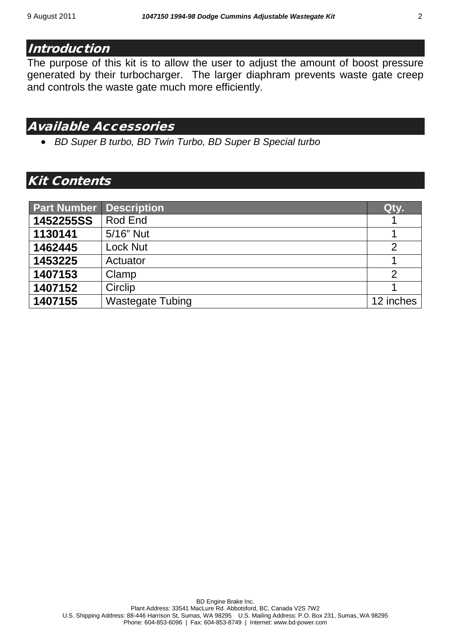#### **Introduction**

The purpose of this kit is to allow the user to adjust the amount of boost pressure generated by their turbocharger. The larger diaphram prevents waste gate creep and controls the waste gate much more efficiently.

#### Available Accessories

• *BD Super B turbo, BD Twin Turbo, BD Super B Special turbo*

#### Kit Contents

| <b>Part Number</b> | <b>Description</b>      | <b>Qty.</b>   |
|--------------------|-------------------------|---------------|
| 1452255SS          | Rod End                 |               |
| 1130141            | 5/16" Nut               |               |
| 1462445            | <b>Lock Nut</b>         | $\mathcal{P}$ |
| 1453225            | Actuator                |               |
| 1407153            | Clamp                   | $\mathcal{P}$ |
| 1407152            | Circlip                 |               |
| 1407155            | <b>Wastegate Tubing</b> | 12 inches     |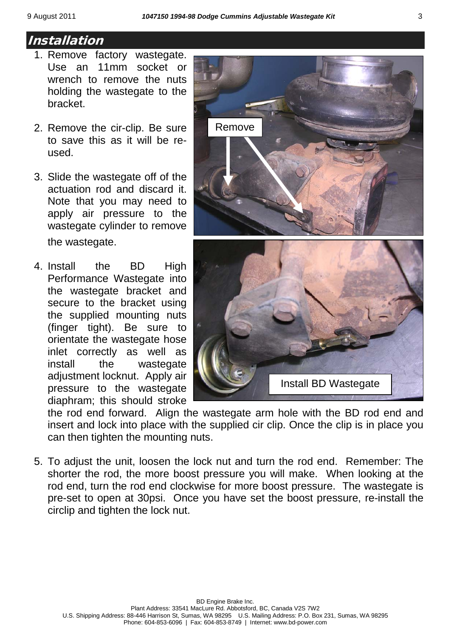### Installation

- 1. Remove factory wastegate. Use an 11mm socket or wrench to remove the nuts holding the wastegate to the bracket.
- 2. Remove the cir-clip. Be sure to save this as it will be reused.
- 3. Slide the wastegate off of the actuation rod and discard it. Note that you may need to apply air pressure to the wastegate cylinder to remove the wastegate.
- 4. Install the BD High Performance Wastegate into the wastegate bracket and secure to the bracket using the supplied mounting nuts (finger tight). Be sure to orientate the wastegate hose inlet correctly as well as install the wastegate adjustment locknut. Apply air pressure to the wastegate diaphram; this should stroke



the rod end forward. Align the wastegate arm hole with the BD rod end and insert and lock into place with the supplied cir clip. Once the clip is in place you can then tighten the mounting nuts.

5. To adjust the unit, loosen the lock nut and turn the rod end. Remember: The shorter the rod, the more boost pressure you will make. When looking at the rod end, turn the rod end clockwise for more boost pressure. The wastegate is pre-set to open at 30psi. Once you have set the boost pressure, re-install the circlip and tighten the lock nut.